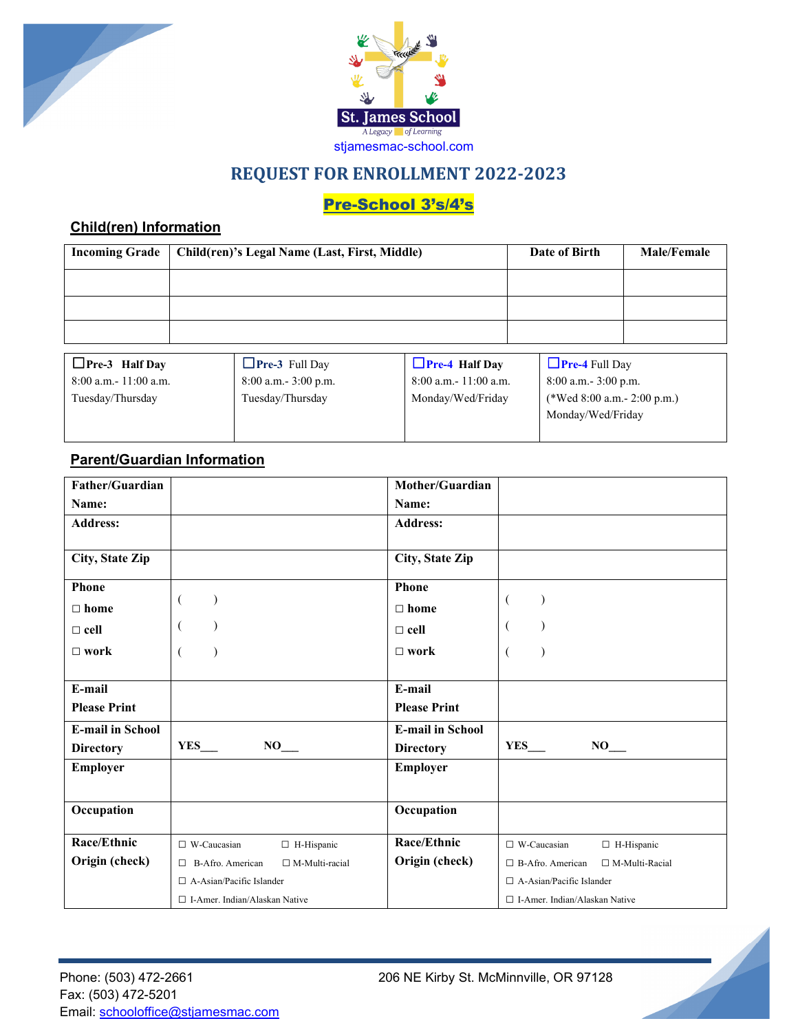



## **REQUEST FOR ENROLLMENT 2022-2023**

# Pre-School 3's/4's

### **Child(ren) Information**

| <b>Incoming Grade</b>                                                                                                                                                                                                                                                                                                                        | Child(ren)'s Legal Name (Last, First, Middle) |                                                                                                                                                                                                                                                                                                                                              | Date of Birth     | <b>Male/Female</b> |                        |  |
|----------------------------------------------------------------------------------------------------------------------------------------------------------------------------------------------------------------------------------------------------------------------------------------------------------------------------------------------|-----------------------------------------------|----------------------------------------------------------------------------------------------------------------------------------------------------------------------------------------------------------------------------------------------------------------------------------------------------------------------------------------------|-------------------|--------------------|------------------------|--|
|                                                                                                                                                                                                                                                                                                                                              |                                               |                                                                                                                                                                                                                                                                                                                                              |                   |                    |                        |  |
|                                                                                                                                                                                                                                                                                                                                              |                                               |                                                                                                                                                                                                                                                                                                                                              |                   |                    |                        |  |
|                                                                                                                                                                                                                                                                                                                                              |                                               |                                                                                                                                                                                                                                                                                                                                              |                   |                    |                        |  |
| $\Box$ . $\Box$ . $\Box$ . $\Box$ . $\Box$ . $\Box$ . $\Box$ . $\Box$ . $\Box$ . $\Box$ . $\Box$ . $\Box$ . $\Box$ . $\Box$ . $\Box$ . $\Box$ . $\Box$ . $\Box$ . $\Box$ . $\Box$ . $\Box$ . $\Box$ . $\Box$ . $\Box$ . $\Box$ . $\Box$ . $\Box$ . $\Box$ . $\Box$ . $\Box$ . $\Box$ . $\Box$ . $\Box$ . $\Box$ . $\Box$ . $\Box$ . $\Box$ . |                                               | $\Box$ . $\Box$ . $\Box$ . $\Box$ . $\Box$ . $\Box$ . $\Box$ . $\Box$ . $\Box$ . $\Box$ . $\Box$ . $\Box$ . $\Box$ . $\Box$ . $\Box$ . $\Box$ . $\Box$ . $\Box$ . $\Box$ . $\Box$ . $\Box$ . $\Box$ . $\Box$ . $\Box$ . $\Box$ . $\Box$ . $\Box$ . $\Box$ . $\Box$ . $\Box$ . $\Box$ . $\Box$ . $\Box$ . $\Box$ . $\Box$ . $\Box$ . $\Box$ . | $\Box$ . $\Box$ . |                    | <b>.</b><br>$\sqrt{2}$ |  |

| $\Box$ Pre-3 Half Day     | $\Box$ Pre-3 Full Day    | $Pre-4$ Half Day          | <b>Pre-4</b> Full Day        |
|---------------------------|--------------------------|---------------------------|------------------------------|
| $8:00$ a.m. $-11:00$ a.m. | $8:00$ a.m. $-3:00$ p.m. | $8:00$ a.m. $-11:00$ a.m. | $8:00$ a.m. $3:00$ p.m.      |
| Tuesday/Thursday          | Tuesday/Thursday         | Monday/Wed/Friday         | (*Wed 8:00 a.m. - 2:00 p.m.) |
|                           |                          |                           | Monday/Wed/Friday            |
|                           |                          |                           |                              |

### **Parent/Guardian Information**

| Father/Guardian         |                                                  | Mother/Guardian         |                                                  |
|-------------------------|--------------------------------------------------|-------------------------|--------------------------------------------------|
| Name:                   |                                                  | Name:                   |                                                  |
| <b>Address:</b>         |                                                  | <b>Address:</b>         |                                                  |
| City, State Zip         |                                                  | City, State Zip         |                                                  |
| Phone                   |                                                  | Phone                   |                                                  |
| $\Box$ home             |                                                  | $\Box$ home             | €                                                |
| $\Box$ cell             | €                                                | $\Box$ cell             | €                                                |
| $\square$ work          | $\lambda$                                        | $\Box$ work             | €                                                |
|                         |                                                  |                         |                                                  |
| E-mail                  |                                                  | E-mail                  |                                                  |
| <b>Please Print</b>     |                                                  | <b>Please Print</b>     |                                                  |
| <b>E-mail in School</b> |                                                  | <b>E-mail in School</b> |                                                  |
| <b>Directory</b>        | <b>YES</b><br>$NO_{\_\_}$                        | <b>Directory</b>        | <b>YES</b><br>NO                                 |
| <b>Employer</b>         |                                                  | <b>Employer</b>         |                                                  |
|                         |                                                  |                         |                                                  |
| Occupation              |                                                  | Occupation              |                                                  |
| Race/Ethnic             | $\Box$ W-Caucasian<br>□ H-Hispanic               | Race/Ethnic             | $\Box$ W-Caucasian<br>$\Box$ H-Hispanic          |
| Origin (check)          | $\Box$ M-Multi-racial<br>$\Box$ B-Afro. American | Origin (check)          | $\Box$ B-Afro. American<br>$\Box$ M-Multi-Racial |
|                         | $\Box$ A-Asian/Pacific Islander                  |                         | $\Box$ A-Asian/Pacific Islander                  |
|                         | □ I-Amer. Indian/Alaskan Native                  |                         | $\Box$ I-Amer. Indian/Alaskan Native             |